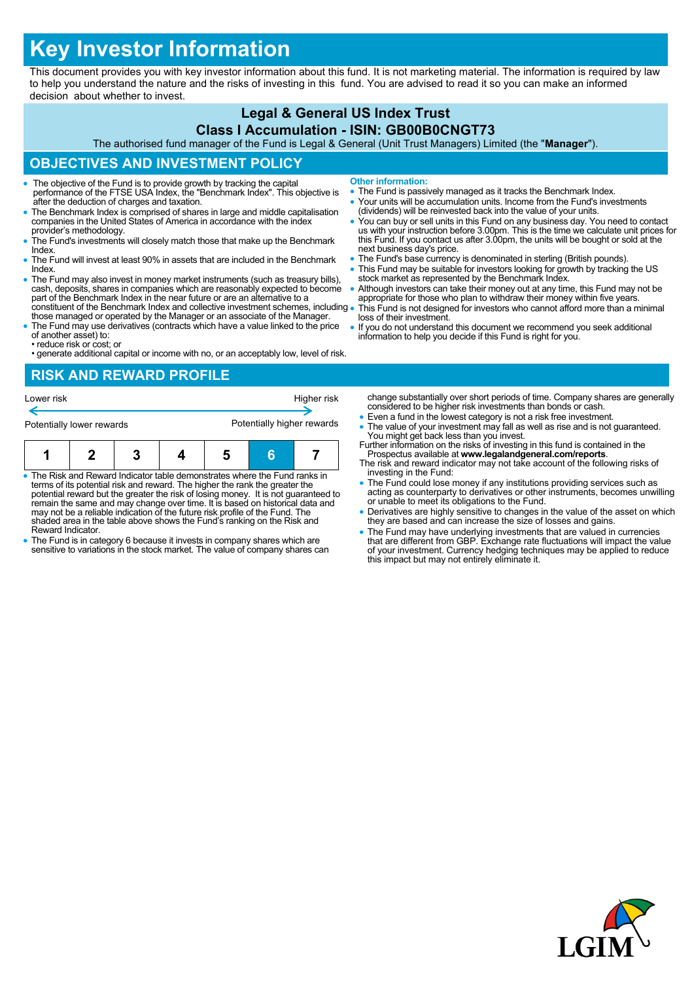# **Key Investor Information**

This document provides you with key investor information about this fund. It is not marketing material. The information is required by law to help you understand the nature and the risks of investing in this fund. You are advised to read it so you can make an informed decision about whether to invest.

# **Legal & General US Index Trust**

#### **Class I Accumulation - ISIN: GB00B0CNGT73**

The authorised fund manager of the Fund is Legal & General (Unit Trust Managers) Limited (the "**Manager**").

## **OBJECTIVES AND INVESTMENT POLICY**

- The objective of the Fund is to provide growth by tracking the capital performance of the FTSE USA Index, the "Benchmark Index". This objective is after the deduction of charges and taxation.
- The Benchmark Index is comprised of shares in large and middle capitalisation companies in the United States of America in accordance with the index provider's methodology.
- The Fund's investments will closely match those that make up the Benchmark **Index**
- The Fund will invest at least 90% in assets that are included in the Benchmark Index.
- The Fund may also invest in money market instruments (such as treasury bills), cash, deposits, shares in companies which are reasonably expected to become part of the Benchmark Index in the near future or are an alternat constituent of the Benchmark Index and collective investment schemes, including .
- those managed or operated by the Manager or an associate of the Manager. The Fund may use derivatives (contracts which have a value linked to the price
- of another asset) to: • reduce risk or cost; or
- generate additional capital or income with no, or an acceptably low, level of risk.

#### **RISK AND REWARD PROFILE**

| Lower risk                |  |  |  | Higher risk                |    |  |
|---------------------------|--|--|--|----------------------------|----|--|
| Potentially lower rewards |  |  |  | Potentially higher rewards |    |  |
|                           |  |  |  | 5                          | 'n |  |

- The Risk and Reward Indicator table demonstrates where the Fund ranks in terms of its potential risk and reward. The higher the rank the greater the potential reward but the greater the risk of losing money. It is not guaranteed to remain the same and may change over time. It is based on historical data and may not be a reliable indication of the future risk profile of the Fund. The shaded area in the table above shows the Fund's ranking on the Risk and Reward Indicator.
- The Fund is in category 6 because it invests in company shares which are sensitive to variations in the stock market. The value of company shares can
- **Other information:**
- The Fund is passively managed as it tracks the Benchmark Index.
- Your units will be accumulation units. Income from the Fund's investments (dividends) will be reinvested back into the value of your units.
- You can buy or sell units in this Fund on any business day. You need to contact us with your instruction before 3.00pm. This is the time we calculate unit prices for this Fund. If you contact us after 3.00pm, the units will be bought or sold at the next business day's price.
- The Fund's base currency is denominated in sterling (British pounds).
- This Fund may be suitable for investors looking for growth by tracking the US stock market as represented by the Benchmark Index.
- Although investors can take their money out at any time, this Fund may not be appropriate for those who plan to withdraw their money within five years. This Fund is not designed for investors who cannot afford more than a minimal
- loss of their investment.
- If you do not understand this document we recommend you seek additional information to help you decide if this Fund is right for you.

change substantially over short periods of time. Company shares are generally considered to be higher risk investments than bonds or cash.

- Even a fund in the lowest category is not a risk free investment.
- The value of your investment may fall as well as rise and is not guaranteed. You might get back less than you invest. Further information on the risks of investing in this fund is contained in the
- Prospectus available at **www.legalandgeneral.com/reports**. The risk and reward indicator may not take account of the following risks of investing in the Fund:
- The Fund could lose money if any institutions providing services such as acting as counterparty to derivatives or other instruments, becomes unwilling or unable to meet its obligations to the Fund.
- Derivatives are highly sensitive to changes in the value of the asset on which they are based and can increase the size of losses and gains.
- The Fund may have underlying investments that are valued in currencies<br>that are different from GBP. Exchange rate fluctuations will impact the value<br>of your investment. Currency hedging techniques may be applied to reduc